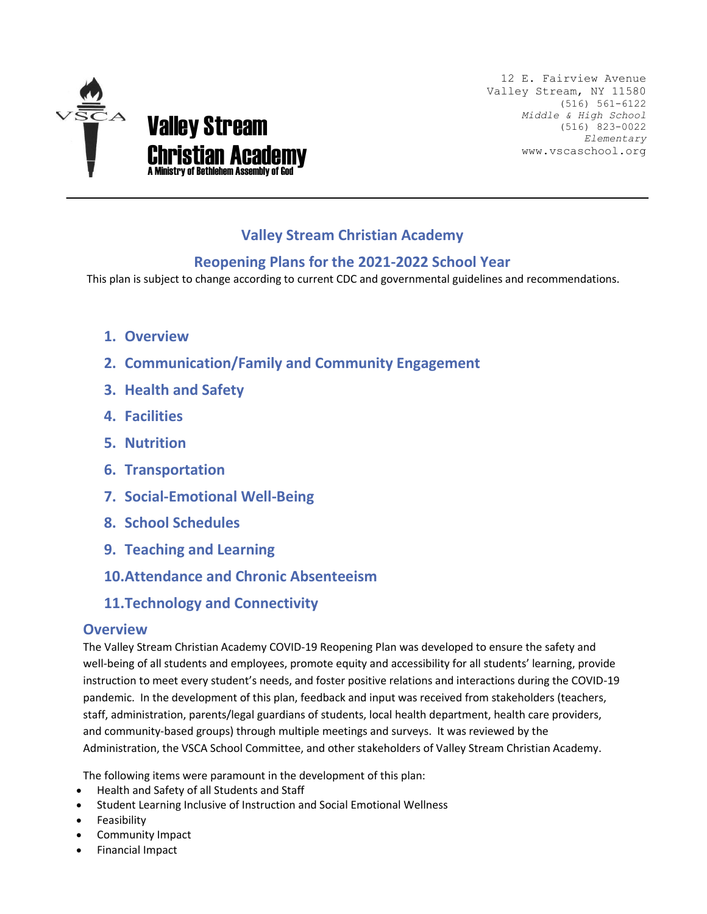

12 E. Fairview Avenue Valley Stream, NY 11580 (516) 561-6122 *Middle & High School* (516) 823-0022 *Elementary* www.vscaschool.org

# **Valley Stream Christian Academy**

## **Reopening Plans for the 2021-2022 School Year**

This plan is subject to change according to current CDC and governmental guidelines and recommendations.

- **1. Overview**
- **2. Communication/Family and Community Engagement**
- **3. Health and Safety**
- **4. Facilities**
- **5. Nutrition**
- **6. Transportation**
- **7. Social-Emotional Well-Being**
- **8. School Schedules**
- **9. Teaching and Learning**
- **10.Attendance and Chronic Absenteeism**
- **11.Technology and Connectivity**

### **Overview**

The Valley Stream Christian Academy COVID-19 Reopening Plan was developed to ensure the safety and well-being of all students and employees, promote equity and accessibility for all students' learning, provide instruction to meet every student's needs, and foster positive relations and interactions during the COVID-19 pandemic. In the development of this plan, feedback and input was received from stakeholders (teachers, staff, administration, parents/legal guardians of students, local health department, health care providers, and community-based groups) through multiple meetings and surveys. It was reviewed by the Administration, the VSCA School Committee, and other stakeholders of Valley Stream Christian Academy.

The following items were paramount in the development of this plan:

- Health and Safety of all Students and Staff
- Student Learning Inclusive of Instruction and Social Emotional Wellness
- **Feasibility**
- Community Impact
- Financial Impact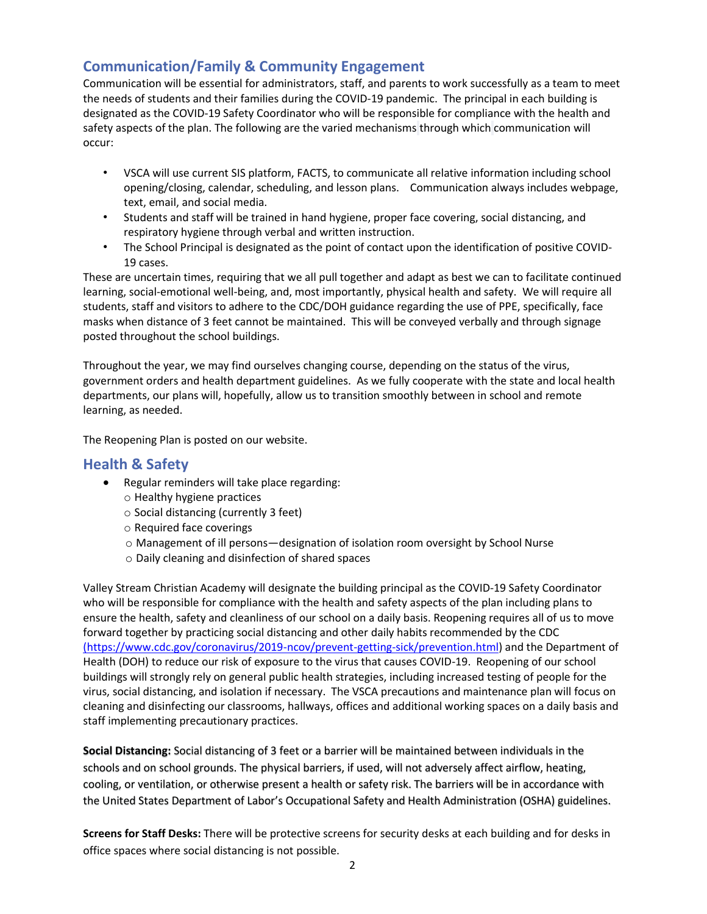# **Communication/Family & Community Engagement**

Communication will be essential for administrators, staff, and parents to work successfully as a team to meet the needs of students and their families during the COVID-19 pandemic. The principal in each building is designated as the COVID-19 Safety Coordinator who will be responsible for compliance with the health and safety aspects of the plan. The following are the varied mechanisms through which communication will occur:

- VSCA will use current SIS platform, FACTS, to communicate all relative information including school opening/closing, calendar, scheduling, and lesson plans. Communication always includes webpage, text, email, and social media.
- Students and staff will be trained in hand hygiene, proper face covering, social distancing, and respiratory hygiene through verbal and written instruction.
- The School Principal is designated as the point of contact upon the identification of positive COVID-19 cases.

These are uncertain times, requiring that we all pull together and adapt as best we can to facilitate continued learning, social-emotional well-being, and, most importantly, physical health and safety. We will require all students, staff and visitors to adhere to the CDC/DOH guidance regarding the use of PPE, specifically, face masks when distance of 3 feet cannot be maintained. This will be conveyed verbally and through signage posted throughout the school buildings.

Throughout the year, we may find ourselves changing course, depending on the status of the virus, government orders and health department guidelines. As we fully cooperate with the state and local health departments, our plans will, hopefully, allow us to transition smoothly between in school and remote learning, as needed.

The Reopening Plan is posted on our website.

## **Health & Safety**

- Regular reminders will take place regarding:
	- o Healthy hygiene practices
	- o Social distancing (currently 3 feet)
	- o Required face coverings
	- o Management of ill persons—designation of isolation room oversight by School Nurse
	- o Daily cleaning and disinfection of shared spaces

Valley Stream Christian Academy will designate the building principal as the COVID-19 Safety Coordinator who will be responsible for compliance with the health and safety aspects of the plan including plans to ensure the health, safety and cleanliness of our school on a daily basis. Reopening requires all of us to move forward together by practicing social distancing and other daily habits recommended by the CDC [\(https://www.cdc.gov/coronavirus/2019-ncov/prevent-getting-sick/prevention.html\)](file:///C:/Users/petershanhai/Downloads/(https:/www.cdc.gov/coronavirus/2019-ncov/prevent-getting-sick/prevention.html) and the Department of Health (DOH) to reduce our risk of exposure to the virus that causes COVID-19. Reopening of our school buildings will strongly rely on general public health strategies, including increased testing of people for the virus, social distancing, and isolation if necessary. The VSCA precautions and maintenance plan will focus on cleaning and disinfecting our classrooms, hallways, offices and additional working spaces on a daily basis and staff implementing precautionary practices.

**Social Distancing:** Social distancing of 3 feet or a barrier will be maintained between individuals in the schools and on school grounds. The physical barriers, if used, will not adversely affect airflow, heating, cooling, or ventilation, or otherwise present a health or safety risk. The barriers will be in accordance with the United States Department of Labor's Occupational Safety and Health Administration (OSHA) guidelines.

**Screens for Staff Desks:** There will be protective screens for security desks at each building and for desks in office spaces where social distancing is not possible.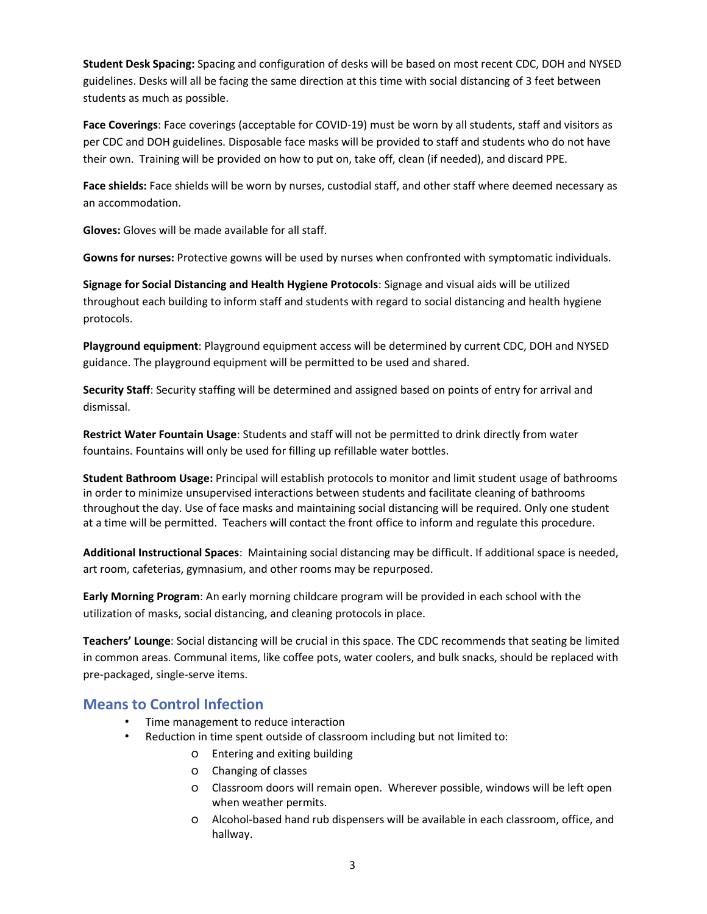**Student Desk Spacing:** Spacing and configuration of desks will be based on most recent CDC, DOH and NYSED guidelines. Desks will all be facing the same direction at this time with social distancing of 3 feet between students as much as possible.

**Face Coverings**: Face coverings (acceptable for COVID-19) must be worn by all students, staff and visitors as per CDC and DOH guidelines. Disposable face masks will be provided to staff and students who do not have their own. Training will be provided on how to put on, take off, clean (if needed), and discard PPE.

**Face shields:** Face shields will be worn by nurses, custodial staff, and other staff where deemed necessary as an accommodation.

**Gloves:** Gloves will be made available for all staff.

**Gowns for nurses:** Protective gowns will be used by nurses when confronted with symptomatic individuals.

**Signage for Social Distancing and Health Hygiene Protocols**: Signage and visual aids will be utilized throughout each building to inform staff and students with regard to social distancing and health hygiene protocols.

**Playground equipment**: Playground equipment access will be determined by current CDC, DOH and NYSED guidance. The playground equipment will be permitted to be used and shared.

**Security Staff**: Security staffing will be determined and assigned based on points of entry for arrival and dismissal.

**Restrict Water Fountain Usage**: Students and staff will not be permitted to drink directly from water fountains. Fountains will only be used for filling up refillable water bottles.

**Student Bathroom Usage:** Principal will establish protocols to monitor and limit student usage of bathrooms in order to minimize unsupervised interactions between students and facilitate cleaning of bathrooms throughout the day. Use of face masks and maintaining social distancing will be required. Only one student at a time will be permitted. Teachers will contact the front office to inform and regulate this procedure.

**Additional Instructional Spaces**: Maintaining social distancing may be difficult. If additional space is needed, art room, cafeterias, gymnasium, and other rooms may be repurposed.

**Early Morning Program**: An early morning childcare program will be provided in each school with the utilization of masks, social distancing, and cleaning protocols in place.

**Teachers' Lounge**: Social distancing will be crucial in this space. The CDC recommends that seating be limited in common areas. Communal items, like coffee pots, water coolers, and bulk snacks, should be replaced with pre-packaged, single-serve items.

### **Means to Control Infection**

- Time management to reduce interaction
- Reduction in time spent outside of classroom including but not limited to:
	- o Entering and exiting building
	- o Changing of classes
	- o Classroom doors will remain open. Wherever possible, windows will be left open when weather permits.
	- o Alcohol-based hand rub dispensers will be available in each classroom, office, and hallway.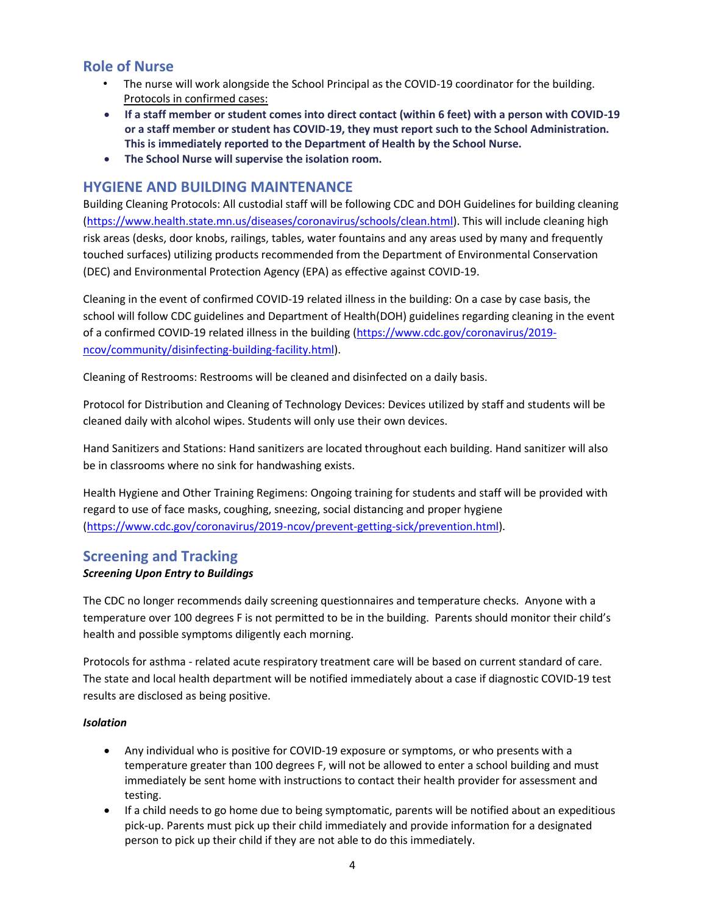## **Role of Nurse**

- The nurse will work alongside the School Principal as the COVID-19 coordinator for the building. Protocols in confirmed cases:
- **If a staff member or student comes into direct contact (within 6 feet) with a person with COVID-19 or a staff member or student has COVID-19, they must report such to the School Administration. This is immediately reported to the Department of Health by the School Nurse.**
- **The School Nurse will supervise the isolation room.**

### **HYGIENE AND BUILDING MAINTENANCE**

Building Cleaning Protocols: All custodial staff will be following CDC and DOH Guidelines for building cleaning [\(https://www.health.state.mn.us/diseases/coronavirus/schools/clean.html\)](https://www.health.state.mn.us/diseases/coronavirus/schools/clean.html). This will include cleaning high risk areas (desks, door knobs, railings, tables, water fountains and any areas used by many and frequently touched surfaces) utilizing products recommended from the Department of Environmental Conservation (DEC) and Environmental Protection Agency (EPA) as effective against COVID-19.

Cleaning in the event of confirmed COVID-19 related illness in the building: On a case by case basis, the school will follow CDC guidelines and Department of Health(DOH) guidelines regarding cleaning in the event of a confirmed COVID-19 related illness in the building [\(https://www.cdc.gov/coronavirus/2019](https://www.cdc.gov/coronavirus/2019-ncov/community/disinfecting-building-facility.html) [ncov/community/disinfecting-building-facility.html\)](https://www.cdc.gov/coronavirus/2019-ncov/community/disinfecting-building-facility.html).

Cleaning of Restrooms: Restrooms will be cleaned and disinfected on a daily basis.

Protocol for Distribution and Cleaning of Technology Devices: Devices utilized by staff and students will be cleaned daily with alcohol wipes. Students will only use their own devices.

Hand Sanitizers and Stations: Hand sanitizers are located throughout each building. Hand sanitizer will also be in classrooms where no sink for handwashing exists.

Health Hygiene and Other Training Regimens: Ongoing training for students and staff will be provided with regard to use of face masks, coughing, sneezing, social distancing and proper hygiene [\(https://www.cdc.gov/coronavirus/2019-ncov/prevent-getting-sick/prevention.html\)](https://www.cdc.gov/coronavirus/2019-ncov/prevent-getting-sick/prevention.html).

## **Screening and Tracking**

### *Screening Upon Entry to Buildings*

The CDC no longer recommends daily screening questionnaires and temperature checks. Anyone with a temperature over 100 degrees F is not permitted to be in the building. Parents should monitor their child's health and possible symptoms diligently each morning.

Protocols for asthma - related acute respiratory treatment care will be based on current standard of care. The state and local health department will be notified immediately about a case if diagnostic COVID-19 test results are disclosed as being positive.

### *Isolation*

- Any individual who is positive for COVID-19 exposure or symptoms, or who presents with a temperature greater than 100 degrees F, will not be allowed to enter a school building and must immediately be sent home with instructions to contact their health provider for assessment and testing.
- If a child needs to go home due to being symptomatic, parents will be notified about an expeditious pick-up. Parents must pick up their child immediately and provide information for a designated person to pick up their child if they are not able to do this immediately.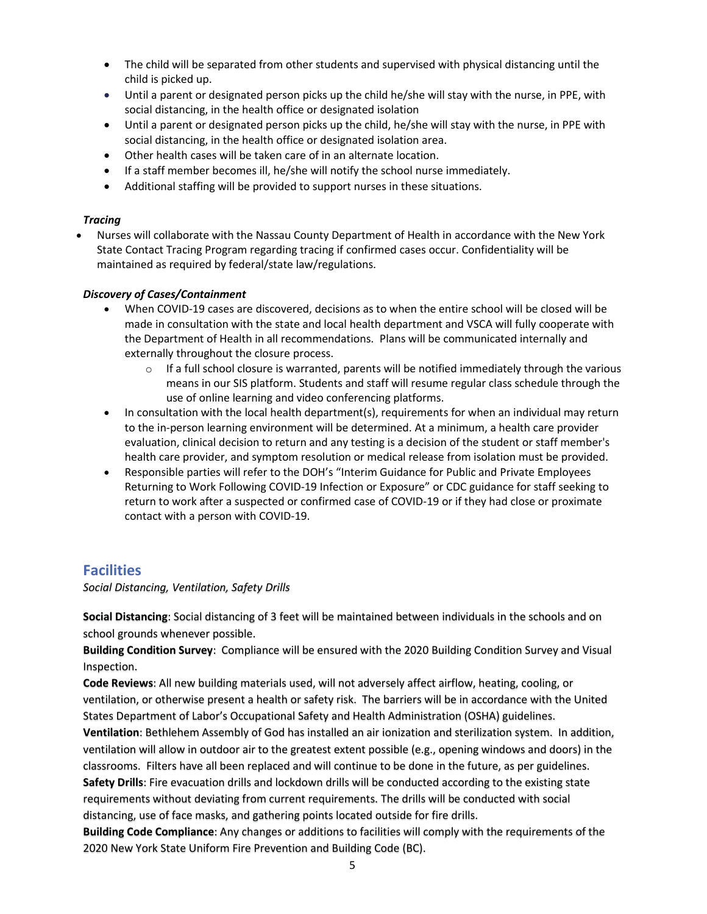- The child will be separated from other students and supervised with physical distancing until the child is picked up.
- Until a parent or designated person picks up the child he/she will stay with the nurse, in PPE, with social distancing, in the health office or designated isolation
- Until a parent or designated person picks up the child, he/she will stay with the nurse, in PPE with social distancing, in the health office or designated isolation area.
- Other health cases will be taken care of in an alternate location.
- If a staff member becomes ill, he/she will notify the school nurse immediately.
- Additional staffing will be provided to support nurses in these situations.

#### *Tracing*

• Nurses will collaborate with the Nassau County Department of Health in accordance with the New York State Contact Tracing Program regarding tracing if confirmed cases occur. Confidentiality will be maintained as required by federal/state law/regulations.

#### *Discovery of Cases/Containment*

- When COVID-19 cases are discovered, decisions as to when the entire school will be closed will be made in consultation with the state and local health department and VSCA will fully cooperate with the Department of Health in all recommendations. Plans will be communicated internally and externally throughout the closure process.
	- $\circ$  If a full school closure is warranted, parents will be notified immediately through the various means in our SIS platform. Students and staff will resume regular class schedule through the use of online learning and video conferencing platforms.
- In consultation with the local health department(s), requirements for when an individual may return to the in-person learning environment will be determined. At a minimum, a health care provider evaluation, clinical decision to return and any testing is a decision of the student or staff member's health care provider, and symptom resolution or medical release from isolation must be provided.
- Responsible parties will refer to the DOH's "Interim Guidance for Public and Private Employees Returning to Work Following COVID-19 Infection or Exposure" or CDC guidance for staff seeking to return to work after a suspected or confirmed case of COVID-19 or if they had close or proximate contact with a person with COVID-19.

### **Facilities**

*Social Distancing, Ventilation, Safety Drills*

**Social Distancing**: Social distancing of 3 feet will be maintained between individuals in the schools and on school grounds whenever possible.

**Building Condition Survey**: Compliance will be ensured with the 2020 Building Condition Survey and Visual Inspection.

**Code Reviews**: All new building materials used, will not adversely affect airflow, heating, cooling, or ventilation, or otherwise present a health or safety risk. The barriers will be in accordance with the United States Department of Labor's Occupational Safety and Health Administration (OSHA) guidelines.

**Ventilation**: Bethlehem Assembly of God has installed an air ionization and sterilization system. In addition, ventilation will allow in outdoor air to the greatest extent possible (e.g., opening windows and doors) in the classrooms. Filters have all been replaced and will continue to be done in the future, as per guidelines. **Safety Drills**: Fire evacuation drills and lockdown drills will be conducted according to the existing state requirements without deviating from current requirements. The drills will be conducted with social distancing, use of face masks, and gathering points located outside for fire drills.

**Building Code Compliance**: Any changes or additions to facilities will comply with the requirements of the 2020 New York State Uniform Fire Prevention and Building Code (BC).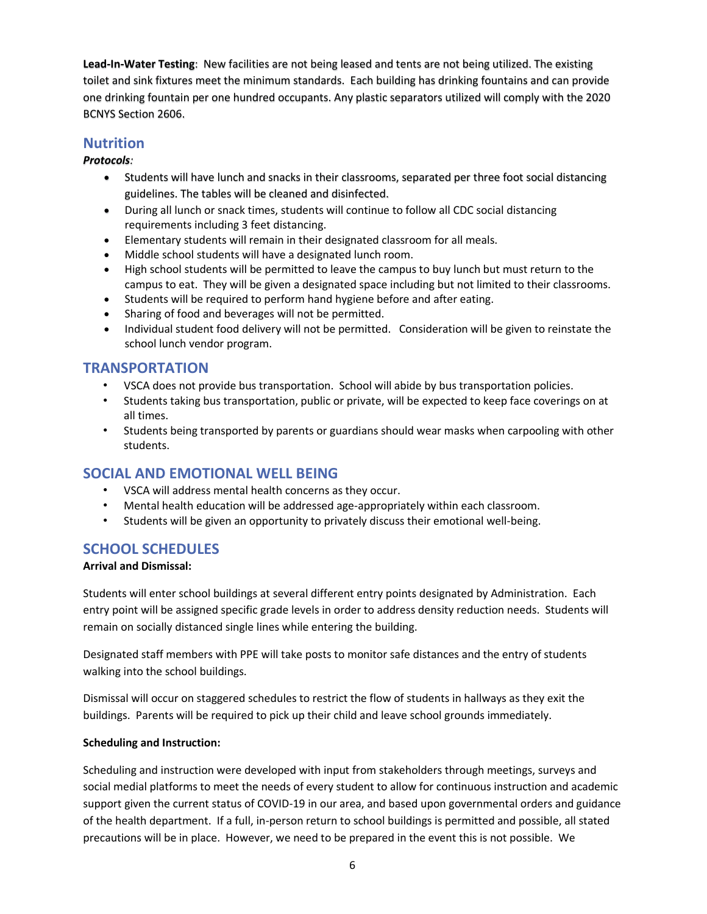**Lead-In-Water Testing**: New facilities are not being leased and tents are not being utilized. The existing toilet and sink fixtures meet the minimum standards. Each building has drinking fountains and can provide one drinking fountain per one hundred occupants. Any plastic separators utilized will comply with the 2020 BCNYS Section 2606.

## **Nutrition**

### *Protocols:*

- Students will have lunch and snacks in their classrooms, separated per three foot social distancing guidelines. The tables will be cleaned and disinfected.
- During all lunch or snack times, students will continue to follow all CDC social distancing requirements including 3 feet distancing.
- Elementary students will remain in their designated classroom for all meals.
- Middle school students will have a designated lunch room.
- High school students will be permitted to leave the campus to buy lunch but must return to the campus to eat. They will be given a designated space including but not limited to their classrooms.
- Students will be required to perform hand hygiene before and after eating.
- Sharing of food and beverages will not be permitted.
- Individual student food delivery will not be permitted. Consideration will be given to reinstate the school lunch vendor program.

## **TRANSPORTATION**

- VSCA does not provide bus transportation. School will abide by bus transportation policies.
- Students taking bus transportation, public or private, will be expected to keep face coverings on at all times.
- Students being transported by parents or guardians should wear masks when carpooling with other students.

## **SOCIAL AND EMOTIONAL WELL BEING**

- VSCA will address mental health concerns as they occur.
- Mental health education will be addressed age-appropriately within each classroom.
- Students will be given an opportunity to privately discuss their emotional well-being.

## **SCHOOL SCHEDULES**

### **Arrival and Dismissal:**

Students will enter school buildings at several different entry points designated by Administration. Each entry point will be assigned specific grade levels in order to address density reduction needs. Students will remain on socially distanced single lines while entering the building.

Designated staff members with PPE will take posts to monitor safe distances and the entry of students walking into the school buildings.

Dismissal will occur on staggered schedules to restrict the flow of students in hallways as they exit the buildings. Parents will be required to pick up their child and leave school grounds immediately.

### **Scheduling and Instruction:**

Scheduling and instruction were developed with input from stakeholders through meetings, surveys and social medial platforms to meet the needs of every student to allow for continuous instruction and academic support given the current status of COVID-19 in our area, and based upon governmental orders and guidance of the health department. If a full, in-person return to school buildings is permitted and possible, all stated precautions will be in place. However, we need to be prepared in the event this is not possible. We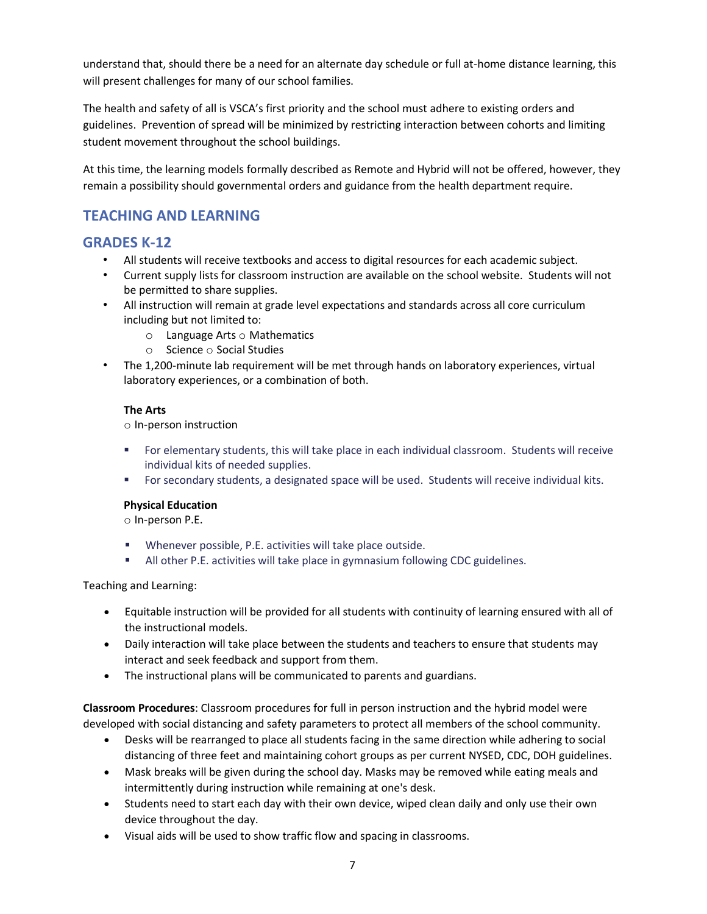understand that, should there be a need for an alternate day schedule or full at-home distance learning, this will present challenges for many of our school families.

The health and safety of all is VSCA's first priority and the school must adhere to existing orders and guidelines. Prevention of spread will be minimized by restricting interaction between cohorts and limiting student movement throughout the school buildings.

At this time, the learning models formally described as Remote and Hybrid will not be offered, however, they remain a possibility should governmental orders and guidance from the health department require.

# **TEACHING AND LEARNING**

## **GRADES K-12**

- All students will receive textbooks and access to digital resources for each academic subject.
- Current supply lists for classroom instruction are available on the school website. Students will not be permitted to share supplies.
- All instruction will remain at grade level expectations and standards across all core curriculum including but not limited to:
	- o Language Arts o Mathematics
	- o Science o Social Studies
- The 1,200-minute lab requirement will be met through hands on laboratory experiences, virtual laboratory experiences, or a combination of both.

### **The Arts**

o In-person instruction

- For elementary students, this will take place in each individual classroom. Students will receive individual kits of needed supplies.
- For secondary students, a designated space will be used. Students will receive individual kits.

### **Physical Education**

o In-person P.E.

- Whenever possible, P.E. activities will take place outside.
- **E** All other P.E. activities will take place in gymnasium following CDC guidelines.

### Teaching and Learning:

- Equitable instruction will be provided for all students with continuity of learning ensured with all of the instructional models.
- Daily interaction will take place between the students and teachers to ensure that students may interact and seek feedback and support from them.
- The instructional plans will be communicated to parents and guardians.

**Classroom Procedures**: Classroom procedures for full in person instruction and the hybrid model were developed with social distancing and safety parameters to protect all members of the school community.

- Desks will be rearranged to place all students facing in the same direction while adhering to social distancing of three feet and maintaining cohort groups as per current NYSED, CDC, DOH guidelines.
- Mask breaks will be given during the school day. Masks may be removed while eating meals and intermittently during instruction while remaining at one's desk.
- Students need to start each day with their own device, wiped clean daily and only use their own device throughout the day.
- Visual aids will be used to show traffic flow and spacing in classrooms.